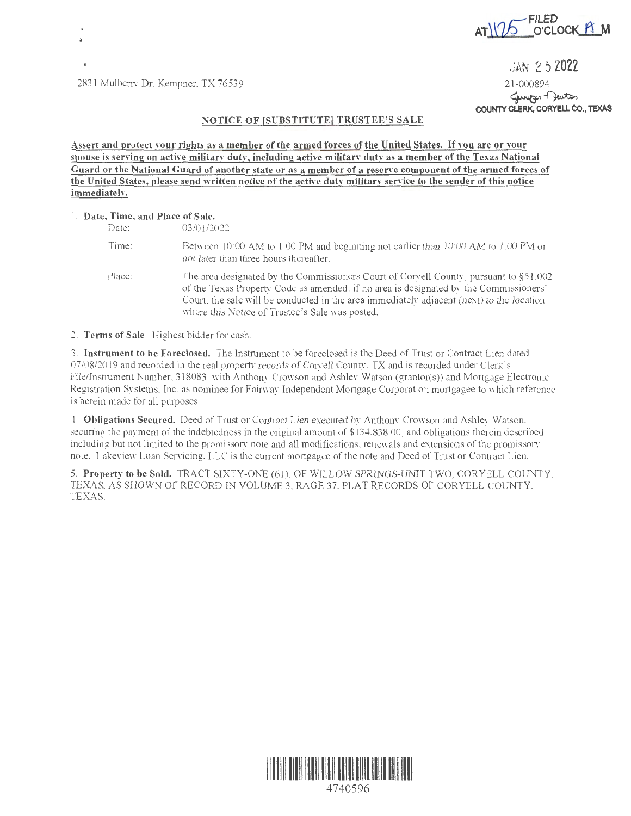

2831 Mulberry Dr, Kempner, TX 76539 21-000894

**JAN 2 5 2022** 

21-000894<br>Cungen Turton<br>**COUNTY CLERK, CORYELL CO., TEXAS** 

## **NOTICE OF (SUBSTITUTE] TRUSTEE'S SALE**

**Assert and protect vour rights as a member of the armed forces of the United States. If you are or vour**  spouse is serving on active military duty, including active military duty as a member of the Texas National **Guard or the National Guard of another state or as a member of a reserve component of the armed forces of the United States, please send written notice of the active dutv military service to the sender of this notice immediatelv.** 

## 1. **Date, Time, and Place of Sale.**

| $\alpha$ . The state will be the $\alpha$ |                                                                                                                                                                                                                                                                                                                                   |
|-------------------------------------------|-----------------------------------------------------------------------------------------------------------------------------------------------------------------------------------------------------------------------------------------------------------------------------------------------------------------------------------|
| Date:                                     | 03/01/2022                                                                                                                                                                                                                                                                                                                        |
| Time:                                     | Between 10:00 AM to 1:00 PM and beginning not earlier than 10:00 AM to 1:00 PM or<br>not later than three hours thereafter.                                                                                                                                                                                                       |
| Place:                                    | The area designated by the Commissioners Court of Corvell County, pursuant to $\S51.002$<br>of the Texas Property Code as amended: if no area is designated by the Commissioners'<br>Court, the sale will be conducted in the area immediately adjacent (next) to the location<br>where this Notice of Trustee's Sale was posted. |

2. **Terms of Sale.** Highest bidder for cash.

3. **Instrument to be Foreclosed.** The Instrument to be foreclosed is the Deed of Trust or Contract Lien dated 07/08/20 19 and recorded in the real property records of Coryell County, TX and is recorded under Clerk's File/lnstiument Number, 318083 with Anthony Crowson and Ashley Watson (grantor(s)) and Mortgage Electronic Registration Systems, Inc. as nominee for Fairway Independent Mortgage Corporation mortgagee to which reference is herein made for all purposes.

4. **Obligations Secured.** Deed of Trust or Contract Lien executed by Anthony Crowson and Ashley Watson, seeming the payment of the indebtedness in the original amount of \$134,838.00, and obligations therein described including but not limited to the promissory note and all modifications, renewals and extensions of the promissory note. Lakeview Loan Servicing, LLC is the current mortgagee of the note and Deed of Trust or Contract Lien.

5. **Property to be Sold.** TRACT SIXTY-ONE (61 ), OF WILLOW SPRINGS-UNIT TWO, CORYELL COUNTY, TEXAS. AS SHOWN OF RECORD IN VOLUME 3, RAGE 37, PLAT RECORDS OF CORYELL COUNTY, TEXAS.



4740596